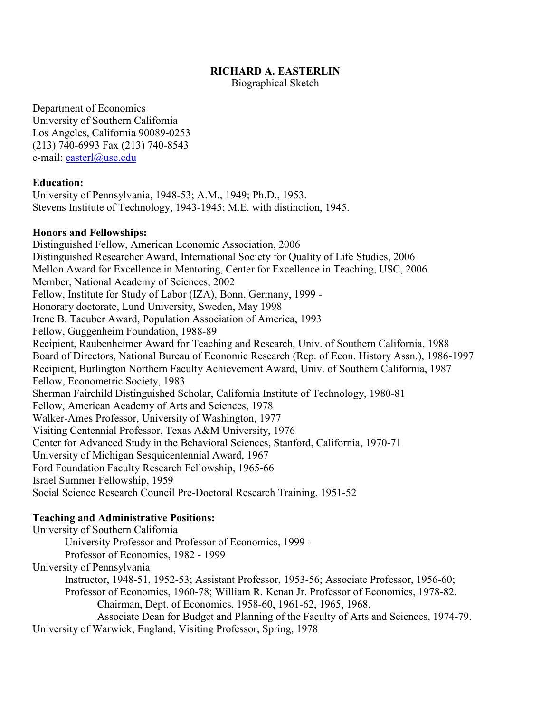## **RICHARD A. EASTERLIN**

Biographical Sketch

Department of Economics University of Southern California Los Angeles, California 90089-0253 (213) 740-6993 Fax (213) 740-8543 e-mail: easterl@usc.edu

# **Education:**

University of Pennsylvania, 1948-53; A.M., 1949; Ph.D., 1953. Stevens Institute of Technology, 1943-1945; M.E. with distinction, 1945.

### **Honors and Fellowships:**

Distinguished Fellow, American Economic Association, 2006 Distinguished Researcher Award, International Society for Quality of Life Studies, 2006 Mellon Award for Excellence in Mentoring, Center for Excellence in Teaching, USC, 2006 Member, National Academy of Sciences, 2002 Fellow, Institute for Study of Labor (IZA), Bonn, Germany, 1999 - Honorary doctorate, Lund University, Sweden, May 1998 Irene B. Taeuber Award, Population Association of America, 1993 Fellow, Guggenheim Foundation, 1988-89 Recipient, Raubenheimer Award for Teaching and Research, Univ. of Southern California, 1988 Board of Directors, National Bureau of Economic Research (Rep. of Econ. History Assn.), 1986-1997 Recipient, Burlington Northern Faculty Achievement Award, Univ. of Southern California, 1987 Fellow, Econometric Society, 1983 Sherman Fairchild Distinguished Scholar, California Institute of Technology, 1980-81 Fellow, American Academy of Arts and Sciences, 1978 Walker-Ames Professor, University of Washington, 1977 Visiting Centennial Professor, Texas A&M University, 1976 Center for Advanced Study in the Behavioral Sciences, Stanford, California, 1970-71 University of Michigan Sesquicentennial Award, 1967 Ford Foundation Faculty Research Fellowship, 1965-66 Israel Summer Fellowship, 1959 Social Science Research Council Pre-Doctoral Research Training, 1951-52

# **Teaching and Administrative Positions:**

University of Southern California

University Professor and Professor of Economics, 1999 -

Professor of Economics, 1982 - 1999

University of Pennsylvania

Instructor, 1948-51, 1952-53; Assistant Professor, 1953-56; Associate Professor, 1956-60; Professor of Economics, 1960-78; William R. Kenan Jr. Professor of Economics, 1978-82.

Chairman, Dept. of Economics, 1958-60, 1961-62, 1965, 1968.

 Associate Dean for Budget and Planning of the Faculty of Arts and Sciences, 1974-79. University of Warwick, England, Visiting Professor, Spring, 1978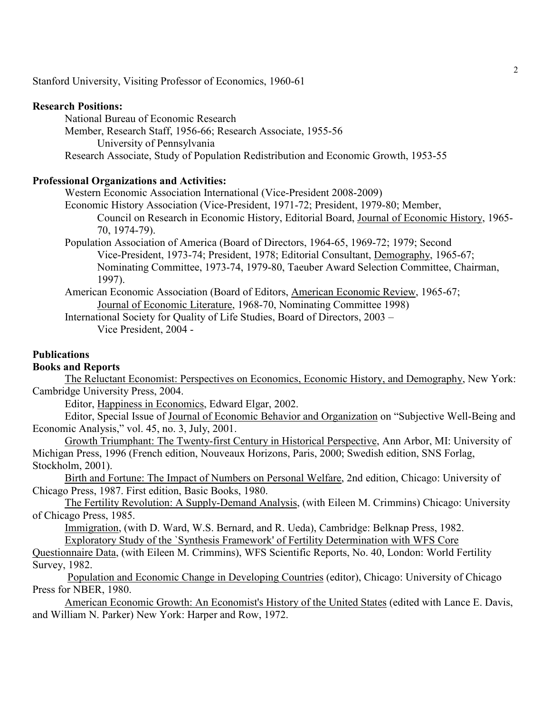Stanford University, Visiting Professor of Economics, 1960-61

#### **Research Positions:**

National Bureau of Economic Research Member, Research Staff, 1956-66; Research Associate, 1955-56 University of Pennsylvania Research Associate, Study of Population Redistribution and Economic Growth, 1953-55

# **Professional Organizations and Activities:**

Western Economic Association International (Vice-President 2008-2009)

Economic History Association (Vice-President, 1971-72; President, 1979-80; Member,

Council on Research in Economic History, Editorial Board, Journal of Economic History, 1965- 70, 1974-79).

Population Association of America (Board of Directors, 1964-65, 1969-72; 1979; Second Vice-President, 1973-74; President, 1978; Editorial Consultant, Demography, 1965-67; Nominating Committee, 1973-74, 1979-80, Taeuber Award Selection Committee, Chairman, 1997).

American Economic Association (Board of Editors, American Economic Review, 1965-67; Journal of Economic Literature, 1968-70, Nominating Committee 1998)

International Society for Quality of Life Studies, Board of Directors, 2003 – Vice President, 2004 -

## **Publications**

### **Books and Reports**

The Reluctant Economist: Perspectives on Economics, Economic History, and Demography, New York: Cambridge University Press, 2004.

Editor, Happiness in Economics, Edward Elgar, 2002.

Editor, Special Issue of Journal of Economic Behavior and Organization on "Subjective Well-Being and Economic Analysis," vol. 45, no. 3, July, 2001.

Growth Triumphant: The Twenty-first Century in Historical Perspective, Ann Arbor, MI: University of Michigan Press, 1996 (French edition, Nouveaux Horizons, Paris, 2000; Swedish edition, SNS Forlag, Stockholm, 2001).

Birth and Fortune: The Impact of Numbers on Personal Welfare, 2nd edition, Chicago: University of Chicago Press, 1987. First edition, Basic Books, 1980.

The Fertility Revolution: A Supply-Demand Analysis, (with Eileen M. Crimmins) Chicago: University of Chicago Press, 1985.

Immigration, (with D. Ward, W.S. Bernard, and R. Ueda), Cambridge: Belknap Press, 1982. Exploratory Study of the `Synthesis Framework' of Fertility Determination with WFS Core

Questionnaire Data, (with Eileen M. Crimmins), WFS Scientific Reports, No. 40, London: World Fertility Survey, 1982.

 Population and Economic Change in Developing Countries (editor), Chicago: University of Chicago Press for NBER, 1980.

American Economic Growth: An Economist's History of the United States (edited with Lance E. Davis, and William N. Parker) New York: Harper and Row, 1972.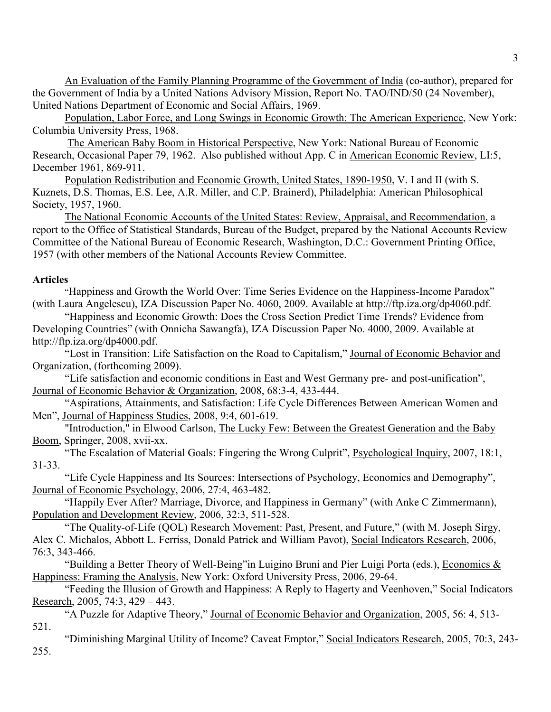An Evaluation of the Family Planning Programme of the Government of India (co-author), prepared for the Government of India by a United Nations Advisory Mission, Report No. TAO/IND/50 (24 November), United Nations Department of Economic and Social Affairs, 1969.

Population, Labor Force, and Long Swings in Economic Growth: The American Experience, New York: Columbia University Press, 1968.

 The American Baby Boom in Historical Perspective, New York: National Bureau of Economic Research, Occasional Paper 79, 1962. Also published without App. C in American Economic Review, LI:5, December 1961, 869-911.

Population Redistribution and Economic Growth, United States, 1890-1950, V. I and II (with S. Kuznets, D.S. Thomas, E.S. Lee, A.R. Miller, and C.P. Brainerd), Philadelphia: American Philosophical Society, 1957, 1960.

The National Economic Accounts of the United States: Review, Appraisal, and Recommendation, a report to the Office of Statistical Standards, Bureau of the Budget, prepared by the National Accounts Review Committee of the National Bureau of Economic Research, Washington, D.C.: Government Printing Office, 1957 (with other members of the National Accounts Review Committee.

# **Articles**

 "Happiness and Growth the World Over: Time Series Evidence on the Happiness-Income Paradox" (with Laura Angelescu), IZA Discussion Paper No. 4060, 2009. Available at http://ftp.iza.org/dp4060.pdf.

 "Happiness and Economic Growth: Does the Cross Section Predict Time Trends? Evidence from Developing Countries" (with Onnicha Sawangfa), IZA Discussion Paper No. 4000, 2009. Available at http://ftp.iza.org/dp4000.pdf.

"Lost in Transition: Life Satisfaction on the Road to Capitalism," Journal of Economic Behavior and Organization, (forthcoming 2009).

 "Life satisfaction and economic conditions in East and West Germany pre- and post-unification", Journal of Economic Behavior & Organization, 2008, 68:3-4, 433-444.

 "Aspirations, Attainments, and Satisfaction: Life Cycle Differences Between American Women and Men", Journal of Happiness Studies, 2008, 9:4, 601-619.

 "Introduction," in Elwood Carlson, The Lucky Few: Between the Greatest Generation and the Baby Boom, Springer, 2008, xvii-xx.

"The Escalation of Material Goals: Fingering the Wrong Culprit", Psychological Inquiry, 2007, 18:1, 31-33.

"Life Cycle Happiness and Its Sources: Intersections of Psychology, Economics and Demography", Journal of Economic Psychology, 2006, 27:4, 463-482.

"Happily Ever After? Marriage, Divorce, and Happiness in Germany" (with Anke C Zimmermann), Population and Development Review, 2006, 32:3, 511-528.

 "The Quality-of-Life (QOL) Research Movement: Past, Present, and Future," (with M. Joseph Sirgy, Alex C. Michalos, Abbott L. Ferriss, Donald Patrick and William Pavot), Social Indicators Research, 2006, 76:3, 343-466.

 "Building a Better Theory of Well-Being"in Luigino Bruni and Pier Luigi Porta (eds.), Economics & Happiness: Framing the Analysis, New York: Oxford University Press, 2006, 29-64.

 "Feeding the Illusion of Growth and Happiness: A Reply to Hagerty and Veenhoven," Social Indicators Research, 2005, 74:3, 429 – 443.

"A Puzzle for Adaptive Theory," Journal of Economic Behavior and Organization, 2005, 56: 4, 513- 521.

"Diminishing Marginal Utility of Income? Caveat Emptor," Social Indicators Research, 2005, 70:3, 243- 255.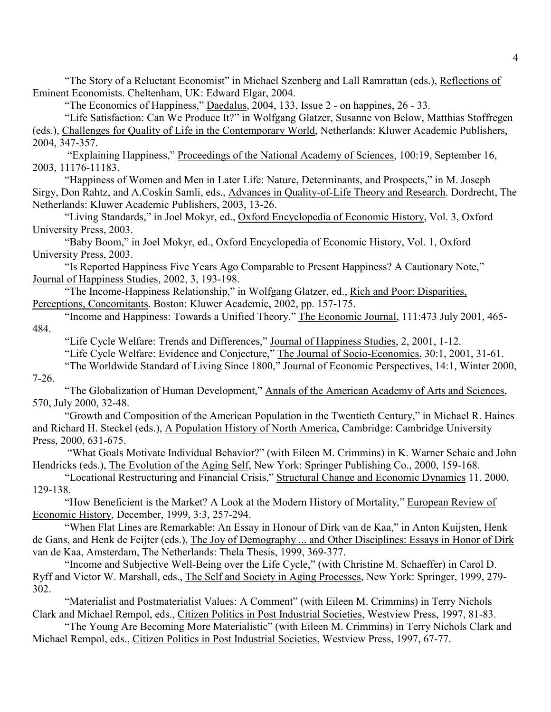"The Story of a Reluctant Economist" in Michael Szenberg and Lall Ramrattan (eds.), Reflections of Eminent Economists. Cheltenham, UK: Edward Elgar, 2004.

"The Economics of Happiness," Daedalus, 2004, 133, Issue 2 - on happines, 26 - 33.

"Life Satisfaction: Can We Produce It?" in Wolfgang Glatzer, Susanne von Below, Matthias Stoffregen (eds.), Challenges for Quality of Life in the Contemporary World, Netherlands: Kluwer Academic Publishers, 2004, 347-357.

 "Explaining Happiness," Proceedings of the National Academy of Sciences, 100:19, September 16, 2003, 11176-11183.

"Happiness of Women and Men in Later Life: Nature, Determinants, and Prospects," in M. Joseph Sirgy, Don Rahtz, and A.Coskin Samli, eds., Advances in Quality-of-Life Theory and Research. Dordrecht, The Netherlands: Kluwer Academic Publishers, 2003, 13-26.

"Living Standards," in Joel Mokyr, ed., Oxford Encyclopedia of Economic History, Vol. 3, Oxford University Press, 2003.

 "Baby Boom," in Joel Mokyr, ed., Oxford Encyclopedia of Economic History, Vol. 1, Oxford University Press, 2003.

"Is Reported Happiness Five Years Ago Comparable to Present Happiness? A Cautionary Note," Journal of Happiness Studies, 2002, 3, 193-198.

"The Income-Happiness Relationship," in Wolfgang Glatzer, ed., Rich and Poor: Disparities, Perceptions, Concomitants. Boston: Kluwer Academic, 2002, pp. 157-175.

"Income and Happiness: Towards a Unified Theory," The Economic Journal, 111:473 July 2001, 465- 484.

"Life Cycle Welfare: Trends and Differences," Journal of Happiness Studies, 2, 2001, 1-12.

"Life Cycle Welfare: Evidence and Conjecture," The Journal of Socio-Economics, 30:1, 2001, 31-61.

"The Worldwide Standard of Living Since 1800," Journal of Economic Perspectives, 14:1, Winter 2000, 7-26.

"The Globalization of Human Development," Annals of the American Academy of Arts and Sciences, 570, July 2000, 32-48.

"Growth and Composition of the American Population in the Twentieth Century," in Michael R. Haines and Richard H. Steckel (eds.), A Population History of North America, Cambridge: Cambridge University Press, 2000, 631-675.

 "What Goals Motivate Individual Behavior?" (with Eileen M. Crimmins) in K. Warner Schaie and John Hendricks (eds.), The Evolution of the Aging Self, New York: Springer Publishing Co., 2000, 159-168.

"Locational Restructuring and Financial Crisis," Structural Change and Economic Dynamics 11, 2000, 129-138.

"How Beneficient is the Market? A Look at the Modern History of Mortality," European Review of Economic History, December, 1999, 3:3, 257-294.

"When Flat Lines are Remarkable: An Essay in Honour of Dirk van de Kaa," in Anton Kuijsten, Henk de Gans, and Henk de Feijter (eds.), The Joy of Demography ... and Other Disciplines: Essays in Honor of Dirk van de Kaa, Amsterdam, The Netherlands: Thela Thesis, 1999, 369-377.

"Income and Subjective Well-Being over the Life Cycle," (with Christine M. Schaeffer) in Carol D. Ryff and Victor W. Marshall, eds., The Self and Society in Aging Processes, New York: Springer, 1999, 279- 302.

"Materialist and Postmaterialist Values: A Comment" (with Eileen M. Crimmins) in Terry Nichols Clark and Michael Rempol, eds., Citizen Politics in Post Industrial Societies, Westview Press, 1997, 81-83.

"The Young Are Becoming More Materialistic" (with Eileen M. Crimmins) in Terry Nichols Clark and Michael Rempol, eds., Citizen Politics in Post Industrial Societies, Westview Press, 1997, 67-77.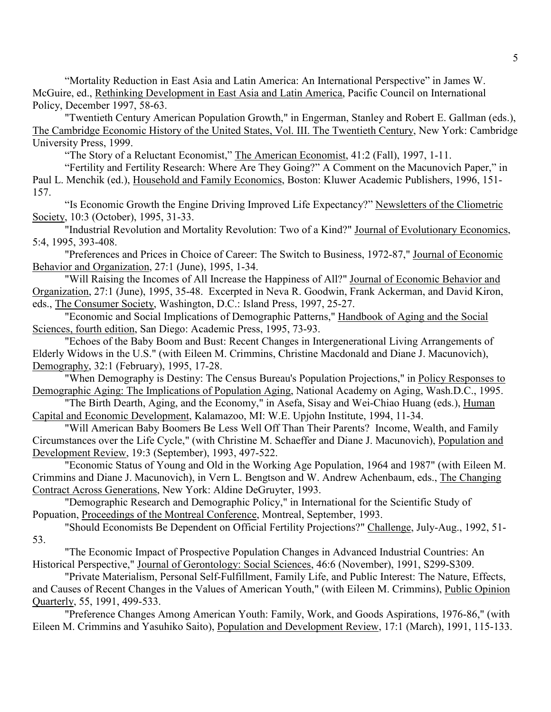"Mortality Reduction in East Asia and Latin America: An International Perspective" in James W. McGuire, ed., Rethinking Development in East Asia and Latin America, Pacific Council on International Policy, December 1997, 58-63.

"Twentieth Century American Population Growth," in Engerman, Stanley and Robert E. Gallman (eds.), The Cambridge Economic History of the United States, Vol. III. The Twentieth Century, New York: Cambridge University Press, 1999.

"The Story of a Reluctant Economist," The American Economist, 41:2 (Fall), 1997, 1-11.

"Fertility and Fertility Research: Where Are They Going?" A Comment on the Macunovich Paper," in Paul L. Menchik (ed.), Household and Family Economics, Boston: Kluwer Academic Publishers, 1996, 151- 157.

"Is Economic Growth the Engine Driving Improved Life Expectancy?" Newsletters of the Cliometric Society, 10:3 (October), 1995, 31-33.

"Industrial Revolution and Mortality Revolution: Two of a Kind?" Journal of Evolutionary Economics, 5:4, 1995, 393-408.

"Preferences and Prices in Choice of Career: The Switch to Business, 1972-87," Journal of Economic Behavior and Organization, 27:1 (June), 1995, 1-34.

"Will Raising the Incomes of All Increase the Happiness of All?" Journal of Economic Behavior and Organization, 27:1 (June), 1995, 35-48. Excerpted in Neva R. Goodwin, Frank Ackerman, and David Kiron, eds., The Consumer Society, Washington, D.C.: Island Press, 1997, 25-27.

"Economic and Social Implications of Demographic Patterns," Handbook of Aging and the Social Sciences, fourth edition, San Diego: Academic Press, 1995, 73-93.

"Echoes of the Baby Boom and Bust: Recent Changes in Intergenerational Living Arrangements of Elderly Widows in the U.S." (with Eileen M. Crimmins, Christine Macdonald and Diane J. Macunovich), Demography, 32:1 (February), 1995, 17-28.

"When Demography is Destiny: The Census Bureau's Population Projections," in Policy Responses to Demographic Aging: The Implications of Population Aging, National Academy on Aging, Wash.D.C., 1995.

"The Birth Dearth, Aging, and the Economy," in Asefa, Sisay and Wei-Chiao Huang (eds.), Human Capital and Economic Development, Kalamazoo, MI: W.E. Upjohn Institute, 1994, 11-34.

"Will American Baby Boomers Be Less Well Off Than Their Parents? Income, Wealth, and Family Circumstances over the Life Cycle," (with Christine M. Schaeffer and Diane J. Macunovich), Population and Development Review, 19:3 (September), 1993, 497-522.

"Economic Status of Young and Old in the Working Age Population, 1964 and 1987" (with Eileen M. Crimmins and Diane J. Macunovich), in Vern L. Bengtson and W. Andrew Achenbaum, eds., The Changing Contract Across Generations, New York: Aldine DeGruyter, 1993.

"Demographic Research and Demographic Policy," in International for the Scientific Study of Popuation, Proceedings of the Montreal Conference, Montreal, September, 1993.

"Should Economists Be Dependent on Official Fertility Projections?" Challenge, July-Aug., 1992, 51-

53.

"The Economic Impact of Prospective Population Changes in Advanced Industrial Countries: An Historical Perspective," Journal of Gerontology: Social Sciences, 46:6 (November), 1991, S299-S309.

"Private Materialism, Personal Self-Fulfillment, Family Life, and Public Interest: The Nature, Effects, and Causes of Recent Changes in the Values of American Youth," (with Eileen M. Crimmins), Public Opinion Quarterly, 55, 1991, 499-533.

"Preference Changes Among American Youth: Family, Work, and Goods Aspirations, 1976-86," (with Eileen M. Crimmins and Yasuhiko Saito), Population and Development Review, 17:1 (March), 1991, 115-133.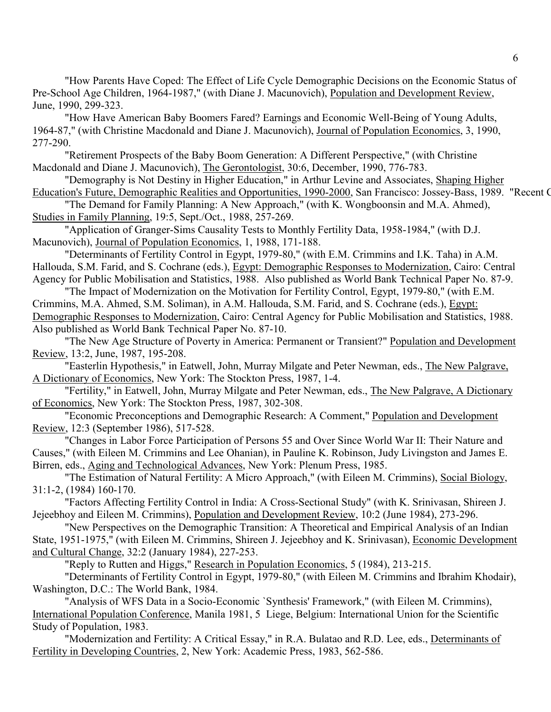"How Parents Have Coped: The Effect of Life Cycle Demographic Decisions on the Economic Status of Pre-School Age Children, 1964-1987," (with Diane J. Macunovich), Population and Development Review, June, 1990, 299-323.

"How Have American Baby Boomers Fared? Earnings and Economic Well-Being of Young Adults, 1964-87," (with Christine Macdonald and Diane J. Macunovich), Journal of Population Economics, 3, 1990, 277-290.

"Retirement Prospects of the Baby Boom Generation: A Different Perspective," (with Christine Macdonald and Diane J. Macunovich), The Gerontologist, 30:6, December, 1990, 776-783.

"Demography is Not Destiny in Higher Education," in Arthur Levine and Associates, Shaping Higher Education's Future, Demographic Realities and Opportunities, 1990-2000, San Francisco: Jossey-Bass, 1989. "Recent C

"The Demand for Family Planning: A New Approach," (with K. Wongboonsin and M.A. Ahmed), Studies in Family Planning, 19:5, Sept./Oct., 1988, 257-269.

"Application of Granger-Sims Causality Tests to Monthly Fertility Data, 1958-1984," (with D.J. Macunovich), Journal of Population Economics, 1, 1988, 171-188.

"Determinants of Fertility Control in Egypt, 1979-80," (with E.M. Crimmins and I.K. Taha) in A.M. Hallouda, S.M. Farid, and S. Cochrane (eds.), Egypt: Demographic Responses to Modernization, Cairo: Central Agency for Public Mobilisation and Statistics, 1988. Also published as World Bank Technical Paper No. 87-9.

"The Impact of Modernization on the Motivation for Fertility Control, Egypt, 1979-80," (with E.M. Crimmins, M.A. Ahmed, S.M. Soliman), in A.M. Hallouda, S.M. Farid, and S. Cochrane (eds.), Egypt: Demographic Responses to Modernization, Cairo: Central Agency for Public Mobilisation and Statistics, 1988. Also published as World Bank Technical Paper No. 87-10.

"The New Age Structure of Poverty in America: Permanent or Transient?" Population and Development Review, 13:2, June, 1987, 195-208.

"Easterlin Hypothesis," in Eatwell, John, Murray Milgate and Peter Newman, eds., The New Palgrave, A Dictionary of Economics, New York: The Stockton Press, 1987, 1-4.

"Fertility," in Eatwell, John, Murray Milgate and Peter Newman, eds., The New Palgrave, A Dictionary of Economics, New York: The Stockton Press, 1987, 302-308.

"Economic Preconceptions and Demographic Research: A Comment," Population and Development Review, 12:3 (September 1986), 517-528.

"Changes in Labor Force Participation of Persons 55 and Over Since World War II: Their Nature and Causes," (with Eileen M. Crimmins and Lee Ohanian), in Pauline K. Robinson, Judy Livingston and James E. Birren, eds., Aging and Technological Advances, New York: Plenum Press, 1985.

"The Estimation of Natural Fertility: A Micro Approach," (with Eileen M. Crimmins), Social Biology, 31:1-2, (1984) 160-170.

"Factors Affecting Fertility Control in India: A Cross-Sectional Study" (with K. Srinivasan, Shireen J. Jejeebhoy and Eileen M. Crimmins), Population and Development Review, 10:2 (June 1984), 273-296.

 "New Perspectives on the Demographic Transition: A Theoretical and Empirical Analysis of an Indian State, 1951-1975," (with Eileen M. Crimmins, Shireen J. Jejeebhoy and K. Srinivasan), Economic Development and Cultural Change, 32:2 (January 1984), 227-253.

"Reply to Rutten and Higgs," Research in Population Economics, 5 (1984), 213-215.

"Determinants of Fertility Control in Egypt, 1979-80," (with Eileen M. Crimmins and Ibrahim Khodair), Washington, D.C.: The World Bank, 1984.

"Analysis of WFS Data in a Socio-Economic `Synthesis' Framework," (with Eileen M. Crimmins), International Population Conference, Manila 1981, 5 Liege, Belgium: International Union for the Scientific Study of Population, 1983.

"Modernization and Fertility: A Critical Essay," in R.A. Bulatao and R.D. Lee, eds., Determinants of Fertility in Developing Countries, 2, New York: Academic Press, 1983, 562-586.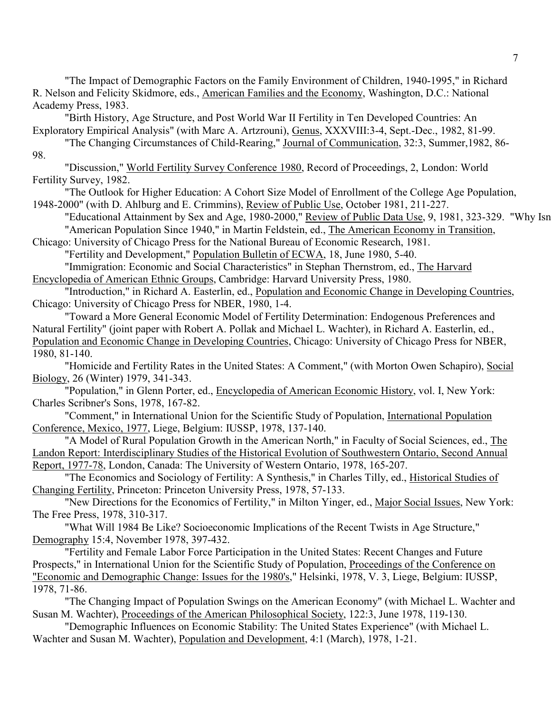"The Impact of Demographic Factors on the Family Environment of Children, 1940-1995," in Richard R. Nelson and Felicity Skidmore, eds., American Families and the Economy, Washington, D.C.: National Academy Press, 1983.

"Birth History, Age Structure, and Post World War II Fertility in Ten Developed Countries: An Exploratory Empirical Analysis" (with Marc A. Artzrouni), Genus, XXXVIII:3-4, Sept.-Dec., 1982, 81-99.

"The Changing Circumstances of Child-Rearing," Journal of Communication, 32:3, Summer,1982, 86- 98.

"Discussion," World Fertility Survey Conference 1980, Record of Proceedings, 2, London: World Fertility Survey, 1982.

"The Outlook for Higher Education: A Cohort Size Model of Enrollment of the College Age Population, 1948-2000" (with D. Ahlburg and E. Crimmins), Review of Public Use, October 1981, 211-227.

"Educational Attainment by Sex and Age, 1980-2000," Review of Public Data Use, 9, 1981, 323-329. "Why Isn "American Population Since 1940," in Martin Feldstein, ed., The American Economy in Transition,

Chicago: University of Chicago Press for the National Bureau of Economic Research, 1981. "Fertility and Development," Population Bulletin of ECWA, 18, June 1980, 5-40.

"Immigration: Economic and Social Characteristics" in Stephan Thernstrom, ed., The Harvard Encyclopedia of American Ethnic Groups, Cambridge: Harvard University Press, 1980.

"Introduction," in Richard A. Easterlin, ed., Population and Economic Change in Developing Countries, Chicago: University of Chicago Press for NBER, 1980, 1-4.

"Toward a More General Economic Model of Fertility Determination: Endogenous Preferences and Natural Fertility" (joint paper with Robert A. Pollak and Michael L. Wachter), in Richard A. Easterlin, ed., Population and Economic Change in Developing Countries, Chicago: University of Chicago Press for NBER, 1980, 81-140.

"Homicide and Fertility Rates in the United States: A Comment," (with Morton Owen Schapiro), Social Biology, 26 (Winter) 1979, 341-343.

"Population," in Glenn Porter, ed., Encyclopedia of American Economic History, vol. I, New York: Charles Scribner's Sons, 1978, 167-82.

"Comment," in International Union for the Scientific Study of Population, International Population Conference, Mexico, 1977, Liege, Belgium: IUSSP, 1978, 137-140.

"A Model of Rural Population Growth in the American North," in Faculty of Social Sciences, ed., The Landon Report: Interdisciplinary Studies of the Historical Evolution of Southwestern Ontario, Second Annual Report, 1977-78, London, Canada: The University of Western Ontario, 1978, 165-207.

"The Economics and Sociology of Fertility: A Synthesis," in Charles Tilly, ed., Historical Studies of Changing Fertility, Princeton: Princeton University Press, 1978, 57-133.

"New Directions for the Economics of Fertility," in Milton Yinger, ed., Major Social Issues, New York: The Free Press, 1978, 310-317.

"What Will 1984 Be Like? Socioeconomic Implications of the Recent Twists in Age Structure," Demography 15:4, November 1978, 397-432.

"Fertility and Female Labor Force Participation in the United States: Recent Changes and Future Prospects," in International Union for the Scientific Study of Population, Proceedings of the Conference on "Economic and Demographic Change: Issues for the 1980's," Helsinki, 1978, V. 3, Liege, Belgium: IUSSP, 1978, 71-86.

"The Changing Impact of Population Swings on the American Economy" (with Michael L. Wachter and Susan M. Wachter), Proceedings of the American Philosophical Society, 122:3, June 1978, 119-130.

"Demographic Influences on Economic Stability: The United States Experience" (with Michael L. Wachter and Susan M. Wachter), Population and Development, 4:1 (March), 1978, 1-21.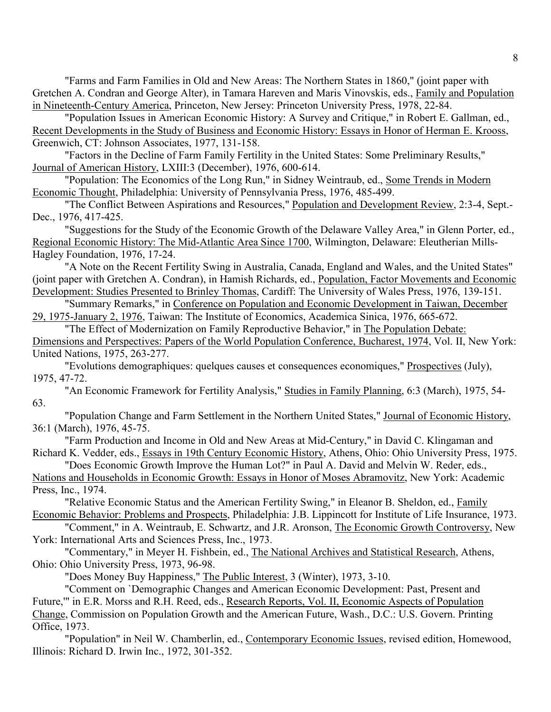"Farms and Farm Families in Old and New Areas: The Northern States in 1860," (joint paper with Gretchen A. Condran and George Alter), in Tamara Hareven and Maris Vinovskis, eds., Family and Population in Nineteenth-Century America, Princeton, New Jersey: Princeton University Press, 1978, 22-84.

"Population Issues in American Economic History: A Survey and Critique," in Robert E. Gallman, ed., Recent Developments in the Study of Business and Economic History: Essays in Honor of Herman E. Krooss, Greenwich, CT: Johnson Associates, 1977, 131-158.

"Factors in the Decline of Farm Family Fertility in the United States: Some Preliminary Results," Journal of American History, LXIII:3 (December), 1976, 600-614.

"Population: The Economics of the Long Run," in Sidney Weintraub, ed., Some Trends in Modern Economic Thought, Philadelphia: University of Pennsylvania Press, 1976, 485-499.

"The Conflict Between Aspirations and Resources," Population and Development Review, 2:3-4, Sept.- Dec., 1976, 417-425.

"Suggestions for the Study of the Economic Growth of the Delaware Valley Area," in Glenn Porter, ed., Regional Economic History: The Mid-Atlantic Area Since 1700, Wilmington, Delaware: Eleutherian Mills-Hagley Foundation, 1976, 17-24.

"A Note on the Recent Fertility Swing in Australia, Canada, England and Wales, and the United States" (joint paper with Gretchen A. Condran), in Hamish Richards, ed., Population, Factor Movements and Economic Development: Studies Presented to Brinley Thomas, Cardiff: The University of Wales Press, 1976, 139-151.

"Summary Remarks," in Conference on Population and Economic Development in Taiwan, December 29, 1975-January 2, 1976, Taiwan: The Institute of Economics, Academica Sinica, 1976, 665-672.

"The Effect of Modernization on Family Reproductive Behavior," in The Population Debate: Dimensions and Perspectives: Papers of the World Population Conference, Bucharest, 1974, Vol. II, New York: United Nations, 1975, 263-277.

"Evolutions demographiques: quelques causes et consequences economiques," Prospectives (July), 1975, 47-72.

"An Economic Framework for Fertility Analysis," Studies in Family Planning, 6:3 (March), 1975, 54- 63.

"Population Change and Farm Settlement in the Northern United States," Journal of Economic History, 36:1 (March), 1976, 45-75.

"Farm Production and Income in Old and New Areas at Mid-Century," in David C. Klingaman and Richard K. Vedder, eds., Essays in 19th Century Economic History, Athens, Ohio: Ohio University Press, 1975.

"Does Economic Growth Improve the Human Lot?" in Paul A. David and Melvin W. Reder, eds., Nations and Households in Economic Growth: Essays in Honor of Moses Abramovitz, New York: Academic Press, Inc., 1974.

"Relative Economic Status and the American Fertility Swing," in Eleanor B. Sheldon, ed., Family Economic Behavior: Problems and Prospects, Philadelphia: J.B. Lippincott for Institute of Life Insurance, 1973.

"Comment," in A. Weintraub, E. Schwartz, and J.R. Aronson, The Economic Growth Controversy, New York: International Arts and Sciences Press, Inc., 1973.

"Commentary," in Meyer H. Fishbein, ed., The National Archives and Statistical Research, Athens, Ohio: Ohio University Press, 1973, 96-98.

"Does Money Buy Happiness," The Public Interest, 3 (Winter), 1973, 3-10.

"Comment on `Demographic Changes and American Economic Development: Past, Present and

Future,'" in E.R. Morss and R.H. Reed, eds., Research Reports, Vol. II, Economic Aspects of Population Change, Commission on Population Growth and the American Future, Wash., D.C.: U.S. Govern. Printing Office, 1973.

"Population" in Neil W. Chamberlin, ed., Contemporary Economic Issues, revised edition, Homewood, Illinois: Richard D. Irwin Inc., 1972, 301-352.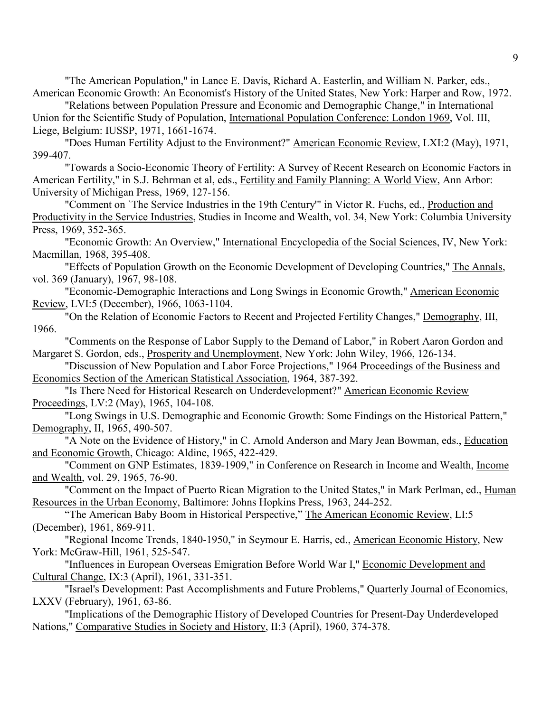"The American Population," in Lance E. Davis, Richard A. Easterlin, and William N. Parker, eds., American Economic Growth: An Economist's History of the United States, New York: Harper and Row, 1972.

"Relations between Population Pressure and Economic and Demographic Change," in International Union for the Scientific Study of Population, International Population Conference: London 1969, Vol. III, Liege, Belgium: IUSSP, 1971, 1661-1674.

"Does Human Fertility Adjust to the Environment?" American Economic Review, LXI:2 (May), 1971, 399-407.

"Towards a Socio-Economic Theory of Fertility: A Survey of Recent Research on Economic Factors in American Fertility," in S.J. Behrman et al, eds., Fertility and Family Planning: A World View, Ann Arbor: University of Michigan Press, 1969, 127-156.

"Comment on 'The Service Industries in the 19th Century"' in Victor R. Fuchs, ed., Production and Productivity in the Service Industries, Studies in Income and Wealth, vol. 34, New York: Columbia University Press, 1969, 352-365.

"Economic Growth: An Overview," International Encyclopedia of the Social Sciences, IV, New York: Macmillan, 1968, 395-408.

"Effects of Population Growth on the Economic Development of Developing Countries," The Annals, vol. 369 (January), 1967, 98-108.

"Economic-Demographic Interactions and Long Swings in Economic Growth," American Economic Review, LVI:5 (December), 1966, 1063-1104.

"On the Relation of Economic Factors to Recent and Projected Fertility Changes," Demography, III, 1966.

"Comments on the Response of Labor Supply to the Demand of Labor," in Robert Aaron Gordon and Margaret S. Gordon, eds., Prosperity and Unemployment, New York: John Wiley, 1966, 126-134.

"Discussion of New Population and Labor Force Projections," 1964 Proceedings of the Business and Economics Section of the American Statistical Association, 1964, 387-392.

"Is There Need for Historical Research on Underdevelopment?" American Economic Review Proceedings, LV:2 (May), 1965, 104-108.

"Long Swings in U.S. Demographic and Economic Growth: Some Findings on the Historical Pattern," Demography, II, 1965, 490-507.

"A Note on the Evidence of History," in C. Arnold Anderson and Mary Jean Bowman, eds., Education and Economic Growth, Chicago: Aldine, 1965, 422-429.

"Comment on GNP Estimates, 1839-1909," in Conference on Research in Income and Wealth, Income and Wealth, vol. 29, 1965, 76-90.

"Comment on the Impact of Puerto Rican Migration to the United States," in Mark Perlman, ed., Human Resources in the Urban Economy, Baltimore: Johns Hopkins Press, 1963, 244-252.

"The American Baby Boom in Historical Perspective," The American Economic Review, LI:5 (December), 1961, 869-911.

"Regional Income Trends, 1840-1950," in Seymour E. Harris, ed., American Economic History, New York: McGraw-Hill, 1961, 525-547.

"Influences in European Overseas Emigration Before World War I," Economic Development and Cultural Change, IX:3 (April), 1961, 331-351.

"Israel's Development: Past Accomplishments and Future Problems," Quarterly Journal of Economics, LXXV (February), 1961, 63-86.

"Implications of the Demographic History of Developed Countries for Present-Day Underdeveloped Nations," Comparative Studies in Society and History, II:3 (April), 1960, 374-378.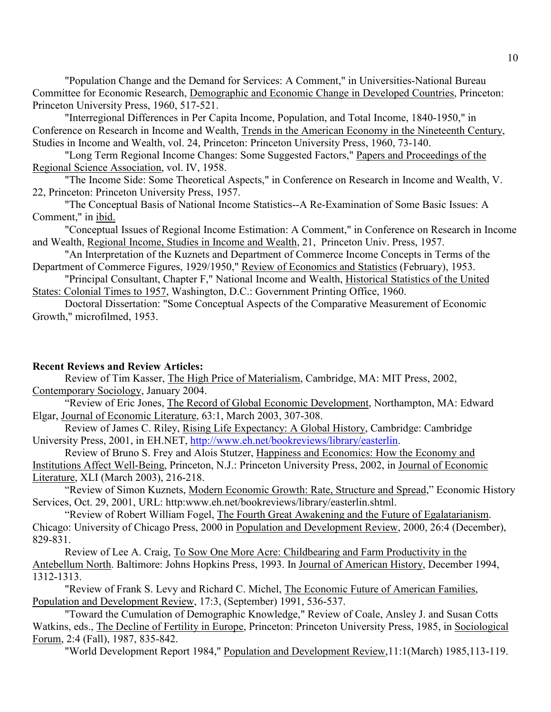"Population Change and the Demand for Services: A Comment," in Universities-National Bureau Committee for Economic Research, Demographic and Economic Change in Developed Countries, Princeton: Princeton University Press, 1960, 517-521.

"Interregional Differences in Per Capita Income, Population, and Total Income, 1840-1950," in Conference on Research in Income and Wealth, Trends in the American Economy in the Nineteenth Century, Studies in Income and Wealth, vol. 24, Princeton: Princeton University Press, 1960, 73-140.

"Long Term Regional Income Changes: Some Suggested Factors," Papers and Proceedings of the Regional Science Association, vol. IV, 1958.

"The Income Side: Some Theoretical Aspects," in Conference on Research in Income and Wealth, V. 22, Princeton: Princeton University Press, 1957.

"The Conceptual Basis of National Income Statistics--A Re-Examination of Some Basic Issues: A Comment," in ibid.

"Conceptual Issues of Regional Income Estimation: A Comment," in Conference on Research in Income and Wealth, Regional Income, Studies in Income and Wealth, 21, Princeton Univ. Press, 1957.

"An Interpretation of the Kuznets and Department of Commerce Income Concepts in Terms of the Department of Commerce Figures, 1929/1950," Review of Economics and Statistics (February), 1953.

"Principal Consultant, Chapter F," National Income and Wealth, Historical Statistics of the United States: Colonial Times to 1957, Washington, D.C.: Government Printing Office, 1960.

Doctoral Dissertation: "Some Conceptual Aspects of the Comparative Measurement of Economic Growth," microfilmed, 1953.

#### **Recent Reviews and Review Articles:**

 Review of Tim Kasser, The High Price of Materialism, Cambridge, MA: MIT Press, 2002, Contemporary Sociology, January 2004.

"Review of Eric Jones, The Record of Global Economic Development, Northampton, MA: Edward Elgar, Journal of Economic Literature, 63:1, March 2003, 307-308.

 Review of James C. Riley, Rising Life Expectancy: A Global History, Cambridge: Cambridge University Press, 2001, in EH.NET, http://www.eh.net/bookreviews/library/easterlin.

 Review of Bruno S. Frey and Alois Stutzer, Happiness and Economics: How the Economy and Institutions Affect Well-Being, Princeton, N.J.: Princeton University Press, 2002, in Journal of Economic Literature, XLI (March 2003), 216-218.

"Review of Simon Kuznets, Modern Economic Growth: Rate, Structure and Spread," Economic History Services, Oct. 29, 2001, URL: http:www.eh.net/bookreviews/library/easterlin.shtml.

"Review of Robert William Fogel, The Fourth Great Awakening and the Future of Egalatarianism. Chicago: University of Chicago Press, 2000 in Population and Development Review, 2000, 26:4 (December), 829-831.

Review of Lee A. Craig, To Sow One More Acre: Childbearing and Farm Productivity in the Antebellum North. Baltimore: Johns Hopkins Press, 1993. In Journal of American History, December 1994, 1312-1313.

"Review of Frank S. Levy and Richard C. Michel, The Economic Future of American Families, Population and Development Review, 17:3, (September) 1991, 536-537.

"Toward the Cumulation of Demographic Knowledge," Review of Coale, Ansley J. and Susan Cotts Watkins, eds., The Decline of Fertility in Europe, Princeton: Princeton University Press, 1985, in Sociological Forum, 2:4 (Fall), 1987, 835-842.

"World Development Report 1984," Population and Development Review,11:1(March) 1985,113-119.